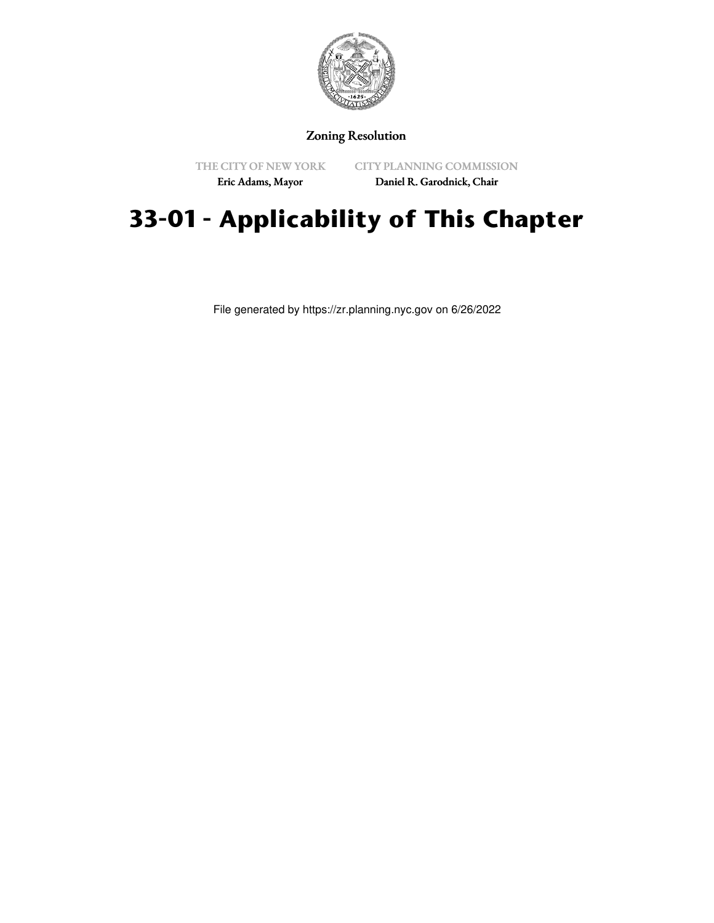

## Zoning Resolution

THE CITY OF NEW YORK Eric Adams, Mayor

CITY PLANNING COMMISSION

Daniel R. Garodnick, Chair

# **33-01 - Applicability of This Chapter**

File generated by https://zr.planning.nyc.gov on 6/26/2022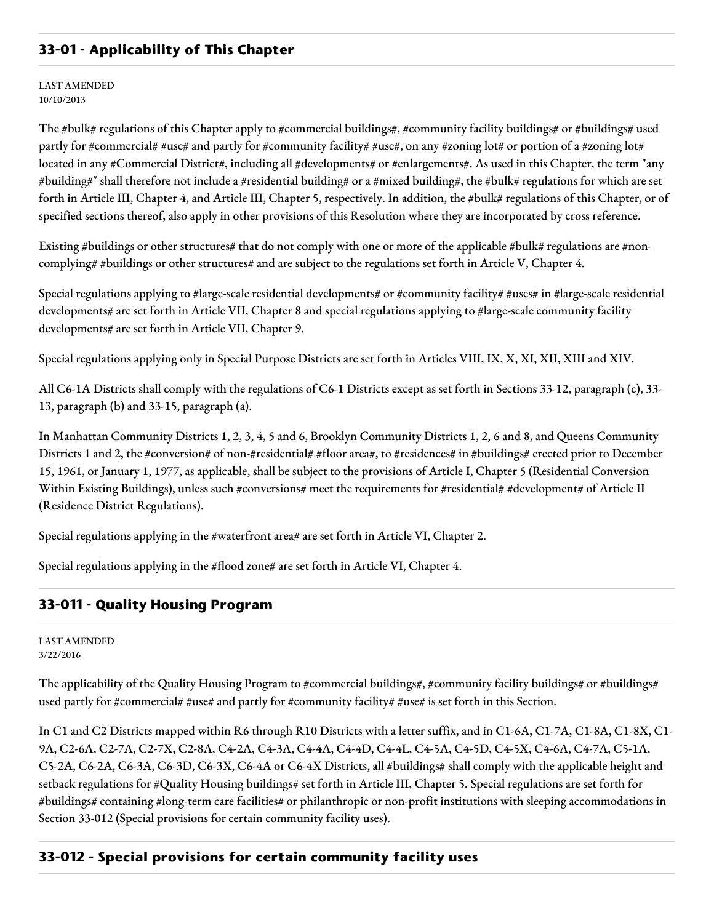# **33-01 - Applicability of This Chapter**

LAST AMENDED 10/10/2013

The #bulk# regulations of this Chapter apply to #commercial buildings#, #community facility buildings# or #buildings# used partly for #commercial# #use# and partly for #community facility# #use#, on any #zoning lot# or portion of a #zoning lot# located in any #Commercial District#, including all #developments# or #enlargements#. As used in this Chapter, the term "any #building#" shall therefore not include a #residential building# or a #mixed building#, the #bulk# regulations for which are set forth in Article III, Chapter 4, and Article III, Chapter 5, respectively. In addition, the #bulk# regulations of this Chapter, or of specified sections thereof, also apply in other provisions of this Resolution where they are incorporated by cross reference.

Existing #buildings or other structures# that do not comply with one or more of the applicable #bulk# regulations are #noncomplying# #buildings or other structures# and are subject to the regulations set forth in Article V, Chapter 4.

Special regulations applying to #large-scale residential developments# or #community facility# #uses# in #large-scale residential developments# are set forth in Article VII, Chapter 8 and special regulations applying to #large-scale community facility developments# are set forth in Article VII, Chapter 9.

Special regulations applying only in Special Purpose Districts are set forth in Articles VIII, IX, X, XI, XII, XIII and XIV.

All C6-1A Districts shall comply with the regulations of C6-1 Districts except as set forth in Sections 33-12, paragraph (c), 33- 13, paragraph (b) and 33-15, paragraph (a).

In Manhattan Community Districts 1, 2, 3, 4, 5 and 6, Brooklyn Community Districts 1, 2, 6 and 8, and Queens Community Districts 1 and 2, the #conversion# of non-#residential# #floor area#, to #residences# in #buildings# erected prior to December 15, 1961, or January 1, 1977, as applicable, shall be subject to the provisions of Article I, Chapter 5 (Residential Conversion Within Existing Buildings), unless such #conversions# meet the requirements for #residential# #development# of Article II (Residence District Regulations).

Special regulations applying in the #waterfront area# are set forth in Article VI, Chapter 2.

Special regulations applying in the #flood zone# are set forth in Article VI, Chapter 4.

#### **33-011 - Quality Housing Program**

LAST AMENDED 3/22/2016

The applicability of the Quality Housing Program to #commercial buildings#, #community facility buildings# or #buildings# used partly for #commercial# #use# and partly for #community facility# #use# is set forth in this Section.

In C1 and C2 Districts mapped within R6 through R10 Districts with a letter suffix, and in C1-6A, C1-7A, C1-8A, C1-8X, C1- 9A, C2-6A, C2-7A, C2-7X, C2-8A, C4-2A, C4-3A, C4-4A, C4-4D, C4-4L, C4-5A, C4-5D, C4-5X, C4-6A, C4-7A, C5-1A, C5-2A, C6-2A, C6-3A, C6-3D, C6-3X, C6-4A or C6-4X Districts, all #buildings# shall comply with the applicable height and setback regulations for #Quality Housing buildings# set forth in Article III, Chapter 5. Special regulations are set forth for #buildings# containing #long-term care facilities# or philanthropic or non-profit institutions with sleeping accommodations in Section 33-012 (Special provisions for certain community facility uses).

#### **33-012 - Special provisions for certain community facility uses**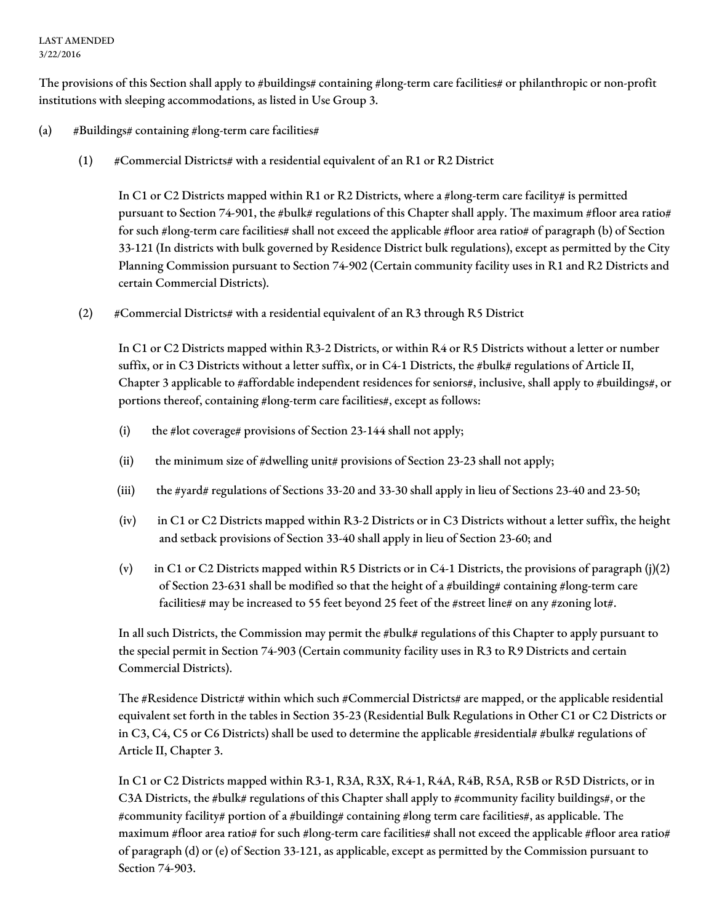#### LAST AMENDED 3/22/2016

The provisions of this Section shall apply to #buildings# containing #long-term care facilities# or philanthropic or non-profit institutions with sleeping accommodations, as listed in Use Group 3.

#### (a)  $\#$ Buildings# containing #long-term care facilities#

(1)  $\#$  Commercial Districts# with a residential equivalent of an R1 or R2 District

In C1 or C2 Districts mapped within R1 or R2 Districts, where a #long-term care facility# is permitted pursuant to Section 74-901, the #bulk# regulations of this Chapter shall apply. The maximum #floor area ratio# for such #long-term care facilities# shall not exceed the applicable #floor area ratio# of paragraph (b) of Section 33-121 (In districts with bulk governed by Residence District bulk regulations), except as permitted by the City Planning Commission pursuant to Section 74-902 (Certain community facility uses in R1 and R2 Districts and certain Commercial Districts).

(2) #Commercial Districts# with a residential equivalent of an R3 through R5 District

In C1 or C2 Districts mapped within R3-2 Districts, or within R4 or R5 Districts without a letter or number suffix, or in C3 Districts without a letter suffix, or in C4-1 Districts, the #bulk# regulations of Article II, Chapter 3 applicable to #affordable independent residences for seniors#, inclusive, shall apply to #buildings#, or portions thereof, containing #long-term care facilities#, except as follows:

- (i) the #lot coverage# provisions of Section 23-144 shall not apply;
- (ii) the minimum size of #dwelling unit# provisions of Section 23-23 shall not apply;
- (iii) the #yard# regulations of Sections 33-20 and 33-30 shall apply in lieu of Sections 23-40 and 23-50;
- (iv) in C1 or C2 Districts mapped within R3-2 Districts or in C3 Districts without a letter suffix, the height and setback provisions of Section 33-40 shall apply in lieu of Section 23-60; and
- (v) in C1 or C2 Districts mapped within R5 Districts or in C4-1 Districts, the provisions of paragraph (j)(2) of Section 23-631 shall be modified so that the height of a #building# containing #long-term care facilities# may be increased to 55 feet beyond 25 feet of the #street line# on any #zoning lot#.

In all such Districts, the Commission may permit the #bulk# regulations of this Chapter to apply pursuant to the special permit in Section 74-903 (Certain community facility uses in R3 to R9 Districts and certain Commercial Districts).

The #Residence District# within which such #Commercial Districts# are mapped, or the applicable residential equivalent set forth in the tables in Section 35-23 (Residential Bulk Regulations in Other C1 or C2 Districts or in C3, C4, C5 or C6 Districts) shall be used to determine the applicable #residential# #bulk# regulations of Article II, Chapter 3.

In C1 or C2 Districts mapped within R3-1, R3A, R3X, R4-1, R4A, R4B, R5A, R5B or R5D Districts, or in C3A Districts, the #bulk# regulations of this Chapter shall apply to #community facility buildings#, or the #community facility# portion of a #building# containing #long term care facilities#, as applicable. The maximum #floor area ratio# for such #long-term care facilities# shall not exceed the applicable #floor area ratio# of paragraph (d) or (e) of Section 33-121, as applicable, except as permitted by the Commission pursuant to Section 74-903.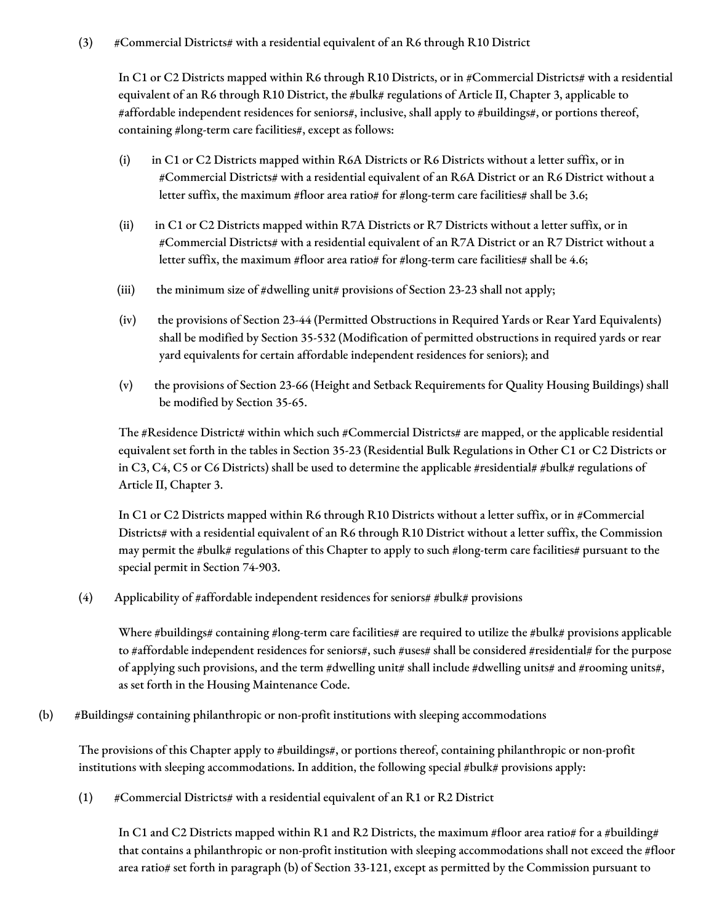### (3) #Commercial Districts# with a residential equivalent of an R6 through R10 District

In C1 or C2 Districts mapped within R6 through R10 Districts, or in #Commercial Districts# with a residential equivalent of an R6 through R10 District, the #bulk# regulations of Article II, Chapter 3, applicable to #affordable independent residences for seniors#, inclusive, shall apply to #buildings#, or portions thereof, containing #long-term care facilities#, except as follows:

- (i) in C1 or C2 Districts mapped within R6A Districts or R6 Districts without a letter suffix, or in #Commercial Districts# with a residential equivalent of an R6A District or an R6 District without a letter suffix, the maximum #floor area ratio# for #long-term care facilities# shall be 3.6;
- (ii) in C1 or C2 Districts mapped within R7A Districts or R7 Districts without a letter suffix, or in #Commercial Districts# with a residential equivalent of an R7A District or an R7 District without a letter suffix, the maximum #floor area ratio# for #long-term care facilities# shall be 4.6;
- (iii) the minimum size of  $\#$ dwelling unit $\#$  provisions of Section 23-23 shall not apply;
- (iv) the provisions of Section 23-44 (Permitted Obstructions in Required Yards or Rear Yard Equivalents) shall be modified by Section 35-532 (Modification of permitted obstructions in required yards or rear yard equivalents for certain affordable independent residences for seniors); and
- (v) the provisions of Section 23-66 (Height and Setback Requirements for Quality Housing Buildings) shall be modified by Section 35-65.

The #Residence District# within which such #Commercial Districts# are mapped, or the applicable residential equivalent set forth in the tables in Section 35-23 (Residential Bulk Regulations in Other C1 or C2 Districts or in C3, C4, C5 or C6 Districts) shall be used to determine the applicable #residential# #bulk# regulations of Article II, Chapter 3.

In C1 or C2 Districts mapped within R6 through R10 Districts without a letter suffix, or in #Commercial Districts# with a residential equivalent of an R6 through R10 District without a letter suffix, the Commission may permit the #bulk# regulations of this Chapter to apply to such #long-term care facilities# pursuant to the special permit in Section 74-903.

(4) Applicability of #affordable independent residences for seniors# #bulk# provisions

Where  $\#$ buildings# containing  $\#$ long-term care facilities# are required to utilize the  $\#$ bulk# provisions applicable to #affordable independent residences for seniors#, such #uses# shall be considered #residential# for the purpose of applying such provisions, and the term #dwelling unit# shall include #dwelling units# and #rooming units#, as set forth in the Housing Maintenance Code.

(b) #Buildings# containing philanthropic or non-profit institutions with sleeping accommodations

The provisions of this Chapter apply to #buildings#, or portions thereof, containing philanthropic or non-profit institutions with sleeping accommodations. In addition, the following special #bulk# provisions apply:

(1)  $\#$ Commercial Districts# with a residential equivalent of an R1 or R2 District

In C1 and C2 Districts mapped within R1 and R2 Districts, the maximum #floor area ratio# for a #building# that contains a philanthropic or non-profit institution with sleeping accommodations shall not exceed the #floor area ratio# set forth in paragraph (b) of Section 33-121, except as permitted by the Commission pursuant to